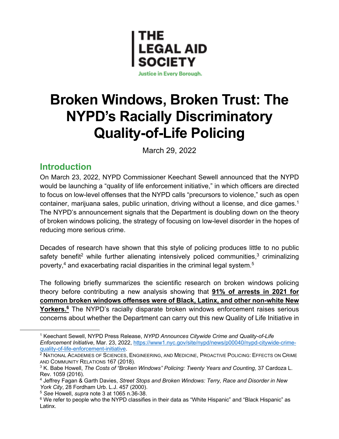

**Justice in Every Borough.** 

# **Broken Windows, Broken Trust: The NYPD's Racially Discriminatory Quality-of-Life Policing**

March 29, 2022

### **Introduction**

On March 23, 2022, NYPD Commissioner Keechant Sewell announced that the NYPD would be launching a "quality of life enforcement initiative," in which officers are directed to focus on low-level offenses that the NYPD calls "precursors to violence," such as open container, marijuana sales, public urination, driving without a license, and dice games. 1 The NYPD's announcement signals that the Department is doubling down on the theory of broken windows policing, the strategy of focusing on low-level disorder in the hopes of reducing more serious crime.

Decades of research have shown that this style of policing produces little to no public safety benefit<sup>2</sup> while further alienating intensively policed communities, $3$  criminalizing poverty,<sup>4</sup> and exacerbating racial disparities in the criminal legal system.<sup>5</sup>

The following briefly summarizes the scientific research on broken windows policing theory before contributing a new analysis showing that **91% of arrests in 2021 for common broken windows offenses were of Black, Latinx, and other non-white New**  Yorkers.<sup>6</sup> The NYPD's racially disparate broken windows enforcement raises serious concerns about whether the Department can carry out this new Quality of Life Initiative in

<sup>1</sup> Keechant Sewell, NYPD Press Release, *NYPD Announces Citywide Crime and Quality-of-Life Enforcement Initiative*, Mar. 23, 2022, https://www1.nyc.gov/site/nypd/news/p00040/nypd-citywide-crimequality-of-life-enforcement-initiative.

<sup>&</sup>lt;sup>2</sup> NATIONAL ACADEMIES OF SCIENCES, ENGINEERING, AND MEDICINE, PROACTIVE POLICING: EFFECTS ON CRIME AND COMMUNITY RELATIONS 167 (2018).

<sup>3</sup> K. Babe Howell, *The Costs of "Broken Windows" Policing: Twenty Years and Counting*, 37 Cardoza L. Rev. 1059 (2016).

<sup>4</sup> Jeffrey Fagan & Garth Davies, *Street Stops and Broken Windows: Terry, Race and Disorder in New York City*, 28 Fordham Urb. L.J. 457 (2000).

<sup>5</sup> *See* Howell, *supra* note 3 at 1065 n.36-38.

 $6$  We refer to people who the NYPD classifies in their data as "White Hispanic" and "Black Hispanic" as Latinx.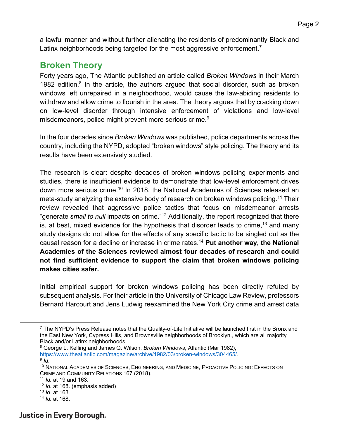a lawful manner and without further alienating the residents of predominantly Black and Latinx neighborhoods being targeted for the most aggressive enforcement.<sup>7</sup>

### **Broken Theory**

Forty years ago, The Atlantic published an article called *Broken Windows* in their March 1982 edition. $8$  In the article, the authors argued that social disorder, such as broken windows left unrepaired in a neighborhood, would cause the law-abiding residents to withdraw and allow crime to flourish in the area. The theory argues that by cracking down on low-level disorder through intensive enforcement of violations and low-level misdemeanors, police might prevent more serious crime.<sup>9</sup>

In the four decades since *Broken Windows* was published, police departments across the country, including the NYPD, adopted "broken windows" style policing. The theory and its results have been extensively studied.

The research is clear: despite decades of broken windows policing experiments and studies, there is insufficient evidence to demonstrate that low-level enforcement drives down more serious crime.<sup>10</sup> In 2018, the National Academies of Sciences released an meta-study analyzing the extensive body of research on broken windows policing.<sup>11</sup> Their review revealed that aggressive police tactics that focus on misdemeanor arrests "generate *small to null* impacts on crime."12 Additionally, the report recognized that there is, at best, mixed evidence for the hypothesis that disorder leads to crime,  $13$  and many study designs do not allow for the effects of any specific tactic to be singled out as the causal reason for a decline or increase in crime rates.14 **Put another way, the National Academies of the Sciences reviewed almost four decades of research and could not find sufficient evidence to support the claim that broken windows policing makes cities safer.**

Initial empirical support for broken windows policing has been directly refuted by subsequent analysis. For their article in the University of Chicago Law Review, professors Bernard Harcourt and Jens Ludwig reexamined the New York City crime and arrest data

<sup>8</sup> George L. Kelling and James Q. Wilson, *Broken Windows*, Atlantic (Mar 1982),

- <sup>12</sup> *Id.* at 168. (emphasis added)
- <sup>13</sup> *Id.* at 163.
- <sup>14</sup> *Id.* at 168.

<sup>7</sup> The NYPD's Press Release notes that the Quality-of-Life Initiative will be launched first in the Bronx and the East New York, Cypress Hills, and Brownsville neighborhoods of Brooklyn., which are all majority Black and/or Latinx neighborhoods.

<sup>&</sup>lt;sup>9</sup> Id.<br><sup>10</sup> NATIONAL ACADEMIES OF SCIENCES. ENGINEERING, AND MEDICINE, PROACTIVE POLICING; EFFECTS ON CRIME AND COMMUNITY RELATIONS 167 (2018).

<sup>11</sup> *Id.* at 19 and 163.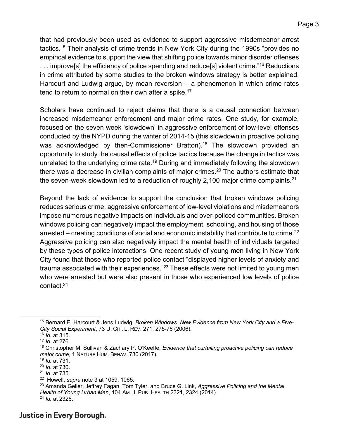that had previously been used as evidence to support aggressive misdemeanor arrest tactics.15 Their analysis of crime trends in New York City during the 1990s "provides no empirical evidence to support the view that shifting police towards minor disorder offenses ... improve[s] the efficiency of police spending and reduce[s] violent crime."<sup>16</sup> Reductions in crime attributed by some studies to the broken windows strategy is better explained, Harcourt and Ludwig argue, by mean reversion -- a phenomenon in which crime rates tend to return to normal on their own after a spike.<sup>17</sup>

Scholars have continued to reject claims that there is a causal connection between increased misdemeanor enforcement and major crime rates. One study, for example, focused on the seven week 'slowdown' in aggressive enforcement of low-level offenses conducted by the NYPD during the winter of 2014-15 (this slowdown in proactive policing was acknowledged by then-Commissioner Bratton).<sup>18</sup> The slowdown provided an opportunity to study the causal effects of police tactics because the change in tactics was unrelated to the underlying crime rate.<sup>19</sup> During and immediately following the slowdown there was a decrease in civilian complaints of major crimes.<sup>20</sup> The authors estimate that the seven-week slowdown led to a reduction of roughly 2,100 major crime complaints.<sup>21</sup>

Beyond the lack of evidence to support the conclusion that broken windows policing reduces serious crime, aggressive enforcement of low-level violations and misdemeanors impose numerous negative impacts on individuals and over-policed communities. Broken windows policing can negatively impact the employment, schooling, and housing of those arrested – creating conditions of social and economic instability that contribute to crime.<sup>22</sup> Aggressive policing can also negatively impact the mental health of individuals targeted by these types of police interactions. One recent study of young men living in New York City found that those who reported police contact "displayed higher levels of anxiety and trauma associated with their experiences."<sup>23</sup> These effects were not limited to young men who were arrested but were also present in those who experienced low levels of police contact.24

<sup>15</sup> Bernard E. Harcourt & Jens Ludwig, *Broken Windows: New Evidence from New York City and a Five-City Social Experiment*, 73 U. CHI. L. REV. 271, 275-76 (2006).

<sup>16</sup> *Id.* at 315. <sup>17</sup> *Id.* at 276.

<sup>18</sup> Christopher M. Sullivan & Zachary P. O'Keeffe, *Evidence that curtailing proactive policing can reduce major crime*, 1 NATURE HUM. BEHAV. 730 (2017).

<sup>19</sup> *Id.* at 731.

<sup>20</sup> *Id.* at 730.

<sup>21</sup> *Id.* at 735.

<sup>22</sup> Howell, *supra* note 3 at 1059, 1065.

<sup>23</sup> Amanda Geller, Jeffrey Fagan, Tom Tyler, and Bruce G. Link, *Aggressive Policing and the Mental Health of Young Urban Men*, 104 AM. J. PUB. HEALTH 2321, 2324 (2014). <sup>24</sup> *Id.* at 2326.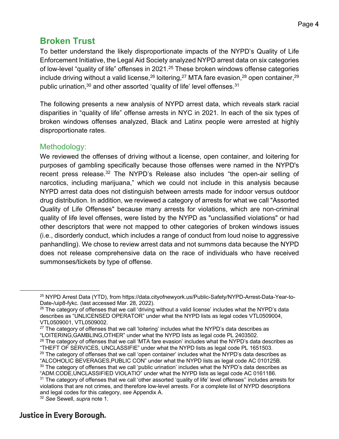### **Broken Trust**

To better understand the likely disproportionate impacts of the NYPD's Quality of Life Enforcement Initiative, the Legal Aid Society analyzed NYPD arrest data on six categories of low-level "quality of life" offenses in 2021.<sup>25</sup> These broken windows offense categories include driving without a valid license,  $26$  loitering,  $27$  MTA fare evasion,  $28$  open container,  $29$ public urination,<sup>30</sup> and other assorted 'quality of life' level offenses.<sup>31</sup>

The following presents a new analysis of NYPD arrest data, which reveals stark racial disparities in "quality of life" offense arrests in NYC in 2021. In each of the six types of broken windows offenses analyzed, Black and Latinx people were arrested at highly disproportionate rates.

#### Methodology:

We reviewed the offenses of driving without a license, open container, and loitering for purposes of gambling specifically because those offenses were named in the NYPD's recent press release.<sup>32</sup> The NYPD's Release also includes "the open-air selling of narcotics, including marijuana," which we could not include in this analysis because NYPD arrest data does not distinguish between arrests made for indoor versus outdoor drug distribution. In addition, we reviewed a category of arrests for what we call "Assorted Quality of Life Offenses" because many arrests for violations, which are non-criminal quality of life level offenses, were listed by the NYPD as "unclassified violations" or had other descriptors that were not mapped to other categories of broken windows issues (i.e., disorderly conduct, which includes a range of conduct from loud noise to aggressive panhandling). We chose to review arrest data and not summons data because the NYPD does not release comprehensive data on the race of individuals who have received summonses/tickets by type of offense.

"ALCOHOLIC BEVERAGES,PUBLIC CON" under what the NYPD lists as legal code AC 010125B.  $30$  The category of offenses that we call 'public urination' includes what the NYPD's data describes as

<sup>25</sup> NYPD Arrest Data (YTD), from https://data.cityofnewyork.us/Public-Safety/NYPD-Arrest-Data-Year-to-Date-/uip8-fykc. (last accessed Mar. 28, 2022).

 $26$  The category of offenses that we call 'driving without a valid license' includes what the NYPD's data describes as "UNLICENSED OPERATOR" under what the NYPD lists as legal codes VTL0509004, VTL0509001, VTL0509002.

 $27$  The category of offenses that we call 'loitering' includes what the NYPD's data describes as "LOITERING,GAMBLING,OTHER" under what the NYPD lists as legal code PL 2403502.

<sup>&</sup>lt;sup>28</sup> The category of offenses that we call 'MTA fare evasion' includes what the NYPD's data describes as "THEFT OF SERVICES, UNCLASSIFIE" under what the NYPD lists as legal code PL 1651503. <sup>29</sup> The category of offenses that we call 'open container' includes what the NYPD's data describes as

<sup>&</sup>quot;ADM.CODE,UNCLASSIFIED VIOLATIO" under what the NYPD lists as legal code AC 0161186. <sup>31</sup> The category of offenses that we call 'other assorted 'quality of life' level offenses" includes arrests for

violations that are not crimes, and therefore low-level arrests. For a complete list of NYPD descriptions and legal codes for this category, *see* Appendix A.

<sup>32</sup> *See* Sewell, *supra* note 1.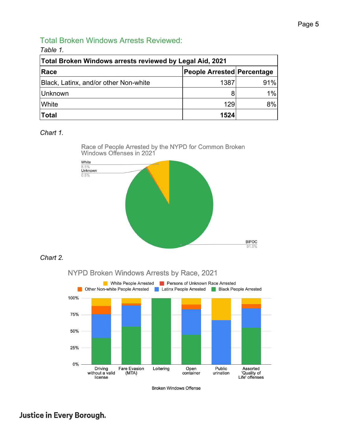#### Total Broken Windows Arrests Reviewed:

*Table 1.*

| Total Broken Windows arrests reviewed by Legal Aid, 2021 |                            |       |  |
|----------------------------------------------------------|----------------------------|-------|--|
| Race                                                     | People Arrested Percentage |       |  |
| Black, Latinx, and/or other Non-white                    | 1387                       | 91%   |  |
| Unknown                                                  |                            | $1\%$ |  |
| <b>White</b>                                             | 129                        | 8%    |  |
| Total                                                    | 1524                       |       |  |

#### *Chart 1.*

Race of People Arrested by the NYPD for Common Broken<br>Windows Offenses in 2021



#### *Chart 2.*



**Broken Windows Offense**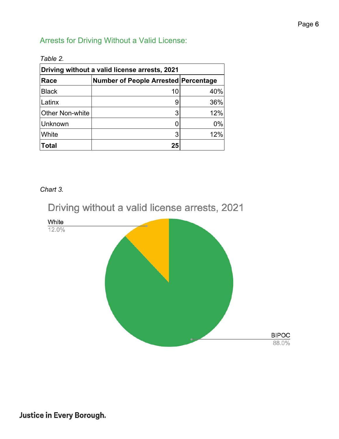### Arrests for Driving Without a Valid License:

| Driving without a valid license arrests, 2021 |                                             |     |
|-----------------------------------------------|---------------------------------------------|-----|
| Race                                          | <b>Number of People Arrested Percentage</b> |     |
| <b>Black</b>                                  | 10                                          | 40% |
| Latinx                                        | 9                                           | 36% |
| <b>Other Non-white</b>                        | 3                                           | 12% |
| Unknown                                       | O                                           | 0%  |
| White                                         | 3                                           | 12% |
| <b>Total</b>                                  | 25                                          |     |

#### *Table 2.*

#### *Chart 3.*

## Driving without a valid license arrests, 2021

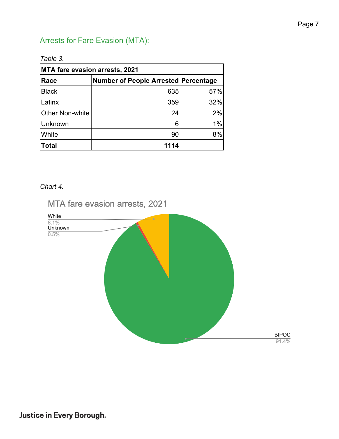### Arrests for Fare Evasion (MTA):

| <b>MTA fare evasion arrests, 2021</b> |                                             |     |
|---------------------------------------|---------------------------------------------|-----|
| Race                                  | <b>Number of People Arrested Percentage</b> |     |
| <b>Black</b>                          | 635                                         | 57% |
| Latinx                                | 359                                         | 32% |
| <b>Other Non-white</b>                | 24                                          | 2%  |
| Unknown                               | 6                                           | 1%  |
| White                                 | 90                                          | 8%  |
| <b>Total</b>                          | 1114                                        |     |

*Chart 4.* 

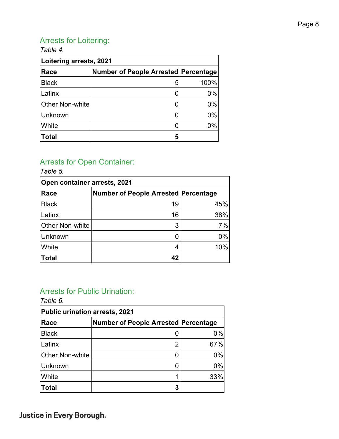### Arrests for Loitering:

| Table 4.<br>Loitering arrests, 2021 |   |       |
|-------------------------------------|---|-------|
|                                     |   |       |
| <b>Black</b>                        | 5 | 100%  |
| Latinx                              |   | $0\%$ |
| Other Non-white                     |   | $0\%$ |
| Unknown                             |   | $0\%$ |
| White                               |   | $0\%$ |
| <b>Total</b>                        | 5 |       |

#### Arrests for Open Container: *Table 5.*

| l able 5.                    |                                             |       |
|------------------------------|---------------------------------------------|-------|
| Open container arrests, 2021 |                                             |       |
| Race                         | <b>Number of People Arrested Percentage</b> |       |
| <b>Black</b>                 | 19                                          | 45%   |
| Latinx                       | 16                                          | 38%   |
| Other Non-white              | 3                                           | 7%    |
| Unknown                      |                                             | $0\%$ |
| <b>White</b>                 |                                             | 10%   |
| Total                        | 4 <sup>2</sup>                              |       |

### Arrests for Public Urination:

*Table 6.* 

| <b>Public urination arrests, 2021</b> |                                      |       |
|---------------------------------------|--------------------------------------|-------|
| Race                                  | Number of People Arrested Percentage |       |
| <b>Black</b>                          |                                      | 0%    |
| Latinx                                | ◠                                    | 67%   |
| <b>Other Non-white</b>                |                                      | $0\%$ |
| Unknown                               |                                      | $0\%$ |
| White                                 |                                      | 33%   |
| <b>Total</b>                          | 3                                    |       |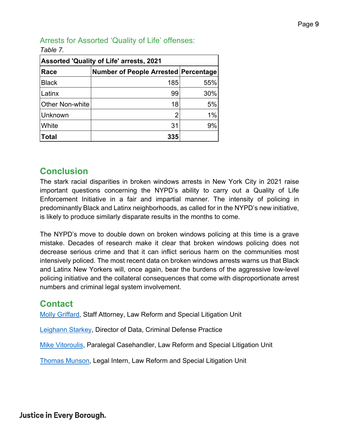### Arrests for Assorted 'Quality of Life' offenses:

| <b>Assorted 'Quality of Life' arrests, 2021</b> |                                             |     |
|-------------------------------------------------|---------------------------------------------|-----|
| Race                                            | <b>Number of People Arrested Percentage</b> |     |
| <b>Black</b>                                    | 185                                         | 55% |
| Latinx                                          | 99                                          | 30% |
| <b>Other Non-white</b>                          | 18                                          | 5%  |
| <b>Unknown</b>                                  | 2                                           | 1%  |
| White                                           | 31                                          | 9%  |
| <b>Total</b>                                    | 335                                         |     |

#### *Table 7.*

### **Conclusion**

The stark racial disparities in broken windows arrests in New York City in 2021 raise important questions concerning the NYPD's ability to carry out a Quality of Life Enforcement Initiative in a fair and impartial manner. The intensity of policing in predominantly Black and Latinx neighborhoods, as called for in the NYPD's new initiative, is likely to produce similarly disparate results in the months to come.

The NYPD's move to double down on broken windows policing at this time is a grave mistake. Decades of research make it clear that broken windows policing does not decrease serious crime and that it can inflict serious harm on the communities most intensively policed. The most recent data on broken windows arrests warns us that Black and Latinx New Yorkers will, once again, bear the burdens of the aggressive low-level policing initiative and the collateral consequences that come with disproportionate arrest numbers and criminal legal system involvement.

### **Contact**

Molly Griffard, Staff Attorney, Law Reform and Special Litigation Unit

Leighann Starkey, Director of Data, Criminal Defense Practice

Mike Vitoroulis, Paralegal Casehandler, Law Reform and Special Litigation Unit

Thomas Munson, Legal Intern, Law Reform and Special Litigation Unit